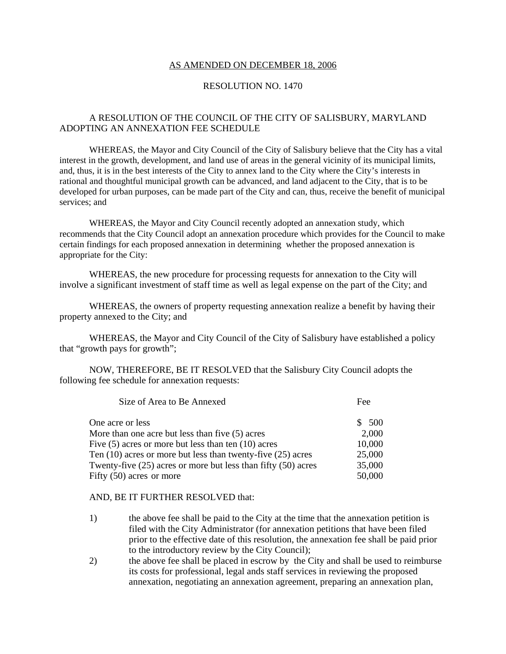## AS AMENDED ON DECEMBER 18, 2006

## RESOLUTION NO. 1470

## A RESOLUTION OF THE COUNCIL OF THE CITY OF SALISBURY, MARYLAND ADOPTING AN ANNEXATION FEE SCHEDULE

WHEREAS, the Mayor and City Council of the City of Salisbury believe that the City has a vital interest in the growth, development, and land use of areas in the general vicinity of its municipal limits, and, thus, it is in the best interests of the City to annex land to the City where the City's interests in rational and thoughtful municipal growth can be advanced, and land adjacent to the City, that is to be developed for urban purposes, can be made part of the City and can, thus, receive the benefit of municipal services; and

WHEREAS, the Mayor and City Council recently adopted an annexation study, which recommends that the City Council adopt an annexation procedure which provides for the Council to make certain findings for each proposed annexation in determining whether the proposed annexation is appropriate for the City:

WHEREAS, the new procedure for processing requests for annexation to the City will involve a significant investment of staff time as well as legal expense on the part of the City; and

WHEREAS, the owners of property requesting annexation realize a benefit by having their property annexed to the City; and

WHEREAS, the Mayor and City Council of the City of Salisbury have established a policy that "growth pays for growth";

NOW, THEREFORE, BE IT RESOLVED that the Salisbury City Council adopts the following fee schedule for annexation requests:

| Size of Area to Be Annexed                                        | Fee    |
|-------------------------------------------------------------------|--------|
| One acre or less                                                  | \$ 500 |
| More than one acre but less than five (5) acres                   | 2,000  |
| Five $(5)$ acres or more but less than ten $(10)$ acres           | 10,000 |
| Ten $(10)$ acres or more but less than twenty-five $(25)$ acres   | 25,000 |
| Twenty-five $(25)$ acres or more but less than fifty $(50)$ acres | 35,000 |
| Fifty (50) acres or more                                          | 50,000 |

## AND, BE IT FURTHER RESOLVED that:

- 1) the above fee shall be paid to the City at the time that the annexation petition is filed with the City Administrator (for annexation petitions that have been filed prior to the effective date of this resolution, the annexation fee shall be paid prior to the introductory review by the City Council);
- 2) the above fee shall be placed in escrow by the City and shall be used to reimburse its costs for professional, legal ands staff services in reviewing the proposed annexation, negotiating an annexation agreement, preparing an annexation plan,